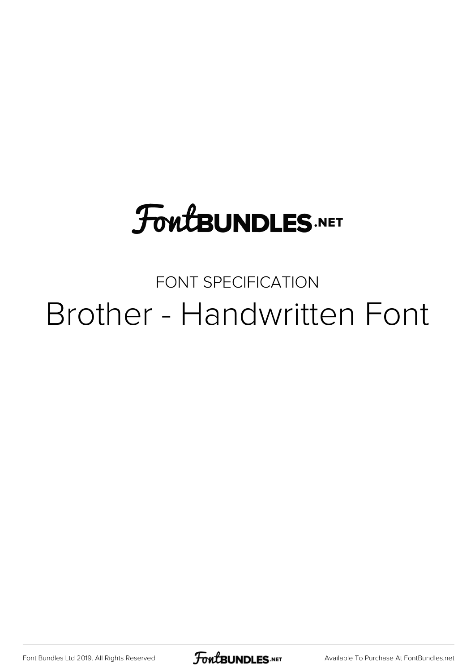## **FoutBUNDLES.NET**

## FONT SPECIFICATION Brother - Handwritten Font

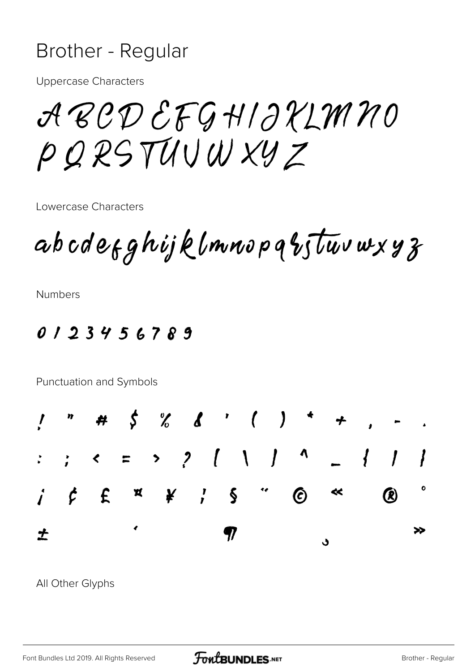## Brother - Regular

**Uppercase Characters** 

ABCDEFGHIJKLMNO PQRSTUVWXYZ

Lowercase Characters

abcdefghijklmnopqbstuvwxyz

**Numbers** 

 $0123456789$ 

Punctuation and Symbols



All Other Glyphs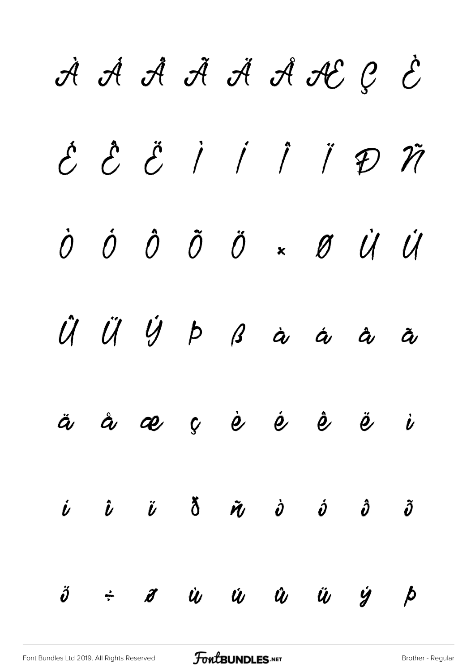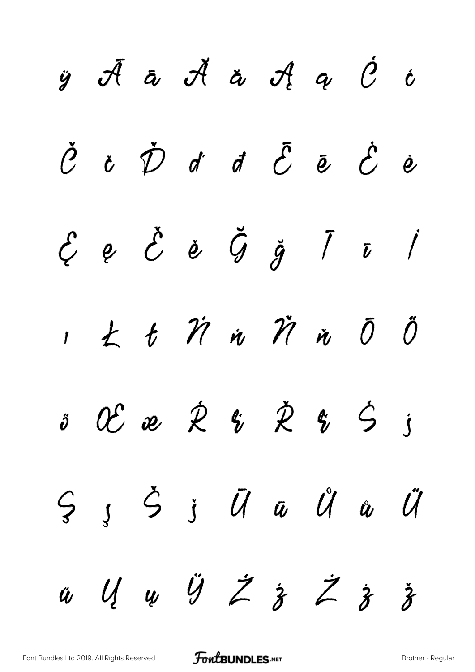